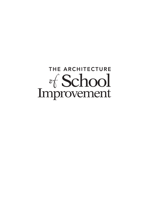## THE ARCHITECTURE of School<br>Improvement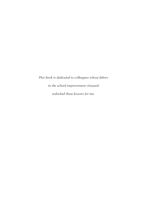*This book is dedicated to colleagues whose labors in the school improvement vineyard unlocked these lessons for me.*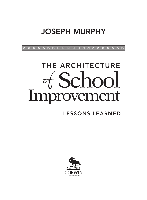## **JOSEPH MURPHY**



# THE ARCHITECTURE of School

### **LESSONS LEARNED**

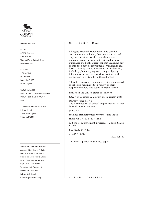

#### FOR INFORMATION:

Corwin A SAGE Company 2455 Teller Road Thousand Oaks, California 91320 www.corwin.com

#### SAGE Ltd.

1 Oliver's Yard 55 City Road London EC1Y 1SP United Kingdom

SAGE India Pvt. Ltd. B 1/I 1 Mohan Cooperative Industrial Area Mathura Road, New Delhi 110 044 India

SAGE Publications Asia-Pacific Pte. Ltd. 3 Church Street #10-04 Samsung Hub Singapore 049483

Acquisitions Editor: Arnis Burvikovs Associate Editor: Desirée A. Bartlett Editorial Assistant: Mayan White Permissions Editor: Jennifer Barron Project Editor: Veronica Stapleton Copy Editor: Laurie Pitman Typesetter: Hurix Systems Pvt. Ltd. Proofreader: Scott Oney Indexer: Sheila Bodell Cover Designer: Rose Storey

#### Copyright © 2013 by Corwin

All rights reserved. When forms and sample documents are included, their use is authorized only by educators, local school sites, and/or noncommercial or nonprofit entities that have purchased the book. Except for that usage, no part of this book may be reproduced or utilized in any form or by any means, electronic or mechanical, including photocopying, recording, or by any information storage and retrieval system, without permission in writing from the publisher.

All trade names and trademarks recited, referenced, or reflected herein are the property of their respective owners who retain all rights thereto.

Printed in the United States of America

*Library of Congress Cataloging-in-Publication Data*

Murphy, Joseph, 1949- The architecture of school improvement: lessons learned / Joseph Murphy.

pages cm

Includes bibliographical references and index.

ISBN 978-1-4522-6822-4 (pbk.)

1. School improvement programs—United States. I. Title.

LB2822.82.M87 2013

371.2'07—dc23

2013005349

This book is printed on acid-free paper.

13 14 15 16 17 10 9 8 7 6 5 4 3 2 1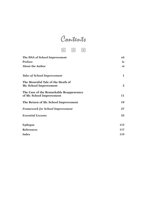Contents

## $\begin{picture}(20,20) \put(0,0){\vector(0,1){30}} \put(15,0){\vector(0,1){30}} \put(15,0){\vector(0,1){30}} \put(15,0){\vector(0,1){30}} \put(15,0){\vector(0,1){30}} \put(15,0){\vector(0,1){30}} \put(15,0){\vector(0,1){30}} \put(15,0){\vector(0,1){30}} \put(15,0){\vector(0,1){30}} \put(15,0){\vector(0,1){30}} \put(15,0){\vector(0,1){30}} \put(15,0){\vector(0$

| The DNA of School Improvement                                        | vii            |
|----------------------------------------------------------------------|----------------|
| Preface                                                              | ix             |
| <b>About the Author</b>                                              | хi             |
| <b>Tales of School Improvement</b>                                   | $\mathbf{1}$   |
| The Mournful Tale of the Death of<br>Mr. School Improvement          | $\overline{2}$ |
| The Case of the Remarkable Reappearance<br>of Mr. School Improvement | 11             |
| The Return of Mr. School Improvement                                 | 19             |
| <b>Framework for School Improvement</b>                              | 27             |
| <b>Essential Lessons</b>                                             | 33             |
| Epilogue                                                             | 115            |
| <b>References</b>                                                    | 117            |
| <b>Index</b>                                                         | 119            |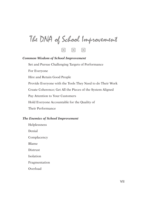The DNA of School Improvement ※ ※ **×** 

#### *Common Wisdom of School Improvement*

Set and Pursue Challenging Targets of Performance For Everyone Hire and Retain Good People Provide Everyone with the Tools They Need to do Their Work Create Coherence; Get All the Pieces of the System Aligned Pay Attention to Your Customers Hold Everyone Accountable for the Quality of Their Performance

#### *The Enemies of School Improvement*

Helplessness Denial **Complacency** Blame Distrust Isolation Fragmentation Overload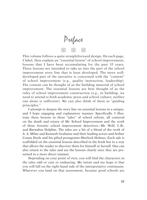Preface

This volume follows a quite straightforward design. On each page, I label, then explain an "essential lesson" of school improvement, lessons that I have been accumulating for the past 35 years. These lessons are intended to take us into the part of the school improvement story line that is least developed. The more welldeveloped part of the narrative is concerned with the "content" of school improvement (e.g., quality instruction, leadership). The content can be thought of as the building material of school improvement. The essential lessons are best thought of as the rules of school improvement construction (e.g., in building, we need to attend to both academic press and school culture; neither one alone is sufficient). We can also think of them as "guiding principles."

I attempt to deepen the story line on essential lessons in a unique, and I hope engaging and explanatory manner. Specifically, I illustrate these lessons in three "tales" of school reform, all centered on the death and return of Mr. School Improvement and the work of three forensic school improvement detectives—Mr. Wolf, C.B., and Barnabus Dolphin. The tales are a bit of a blend of the work of A. A. Milne and Kenneth Grahame and their leading actors and Arthur Conan Doyle and his gifted protagonist Sherlock Holmes. Each tale is scaffolded on the essential lessons described in the book but in a way that allows the reader to discover them for himself or herself. One can also return to the tales and see the lessons clearly once they are presented in a more direct manner.

Depending on your point of view, you will find the characters in the tales odd or cute or endearing. My intent and my hope is that you will fall on the right-hand side of the interpretative continuum. Wherever you land on that assessment, because good schools are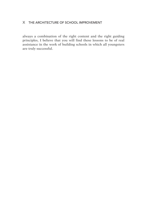#### X THE ARCHITECTURE OF SCHOOL IMPROVEMENT

always a combination of the right content and the right guiding principles, I believe that you will find these lessons to be of real assistance in the work of building schools in which all youngsters are truly successful.